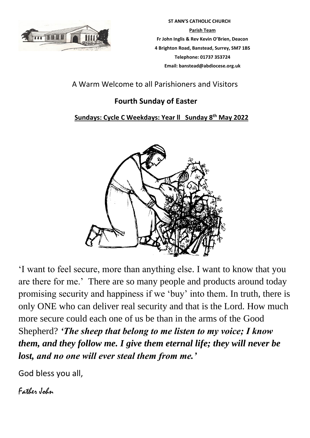

 **ST ANN'S CATHOLIC CHURCH Parish Team Fr John Inglis & Rev Kevin O'Brien, Deacon 4 Brighton Road, Banstead, Surrey, SM7 1BS Telephone: 01737 353724 Email: banstead@abdiocese.org.uk**

A Warm Welcome to all Parishioners and Visitors

# **Fourth Sunday of Easter**

## **Sundays: Cycle C Weekdays: Year ll Sunday 8 th May 2022**



'I want to feel secure, more than anything else. I want to know that you are there for me.' There are so many people and products around today promising security and happiness if we 'buy' into them. In truth, there is only ONE who can deliver real security and that is the Lord. How much more secure could each one of us be than in the arms of the Good Shepherd? *'The sheep that belong to me listen to my voice; I know them, and they follow me. I give them eternal life; they will never be lost, and no one will ever steal them from me.'*

God bless you all,

Father John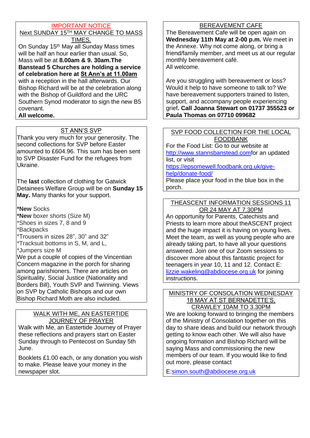## IMPORTANT NOTICE

Next SUNDAY 15TH MAY CHANGE TO MASS TIMES.

On Sunday 15<sup>th</sup> May all Sunday Mass times will be half an hour earlier than usual. So, Mass will be at **8.00am & 9. 30am.The Banstead 5 Churches are holding a service of celebration here at St Ann's at 11.00am** with a reception in the hall afterwards. Our Bishop Richard will be at the celebration along with the Bishop of Guildford and the URC Southern Synod moderator to sign the new B5 covenant. **All welcome.**

## ST ANN'S SVP

Thank you very much for your generosity. The second collections for SVP before Easter amounted to £604.96. This sum has been sent to SVP Disaster Fund for the refugees from Ukraine.

The **last** collection of clothing for Gatwick Detainees Welfare Group will be on **Sunday 15 May.** Many thanks for your support.

**\*New** Socks

**\*New** boxer shorts (Size M) \*Shoes in sizes 7, 8 and 9

\*Backpacks

- \*Trousers in sizes 28", 30" and 32"
- \*Tracksuit bottoms in S, M, and L,

\*Jumpers size M

We put a couple of copies of the Vincentian Concern magazine in the porch for sharing among parishioners. There are articles on Spirituality, Social Justice (Nationality and Borders Bill), Youth SVP and Twinning. Views on SVP by Catholic Bishops and our own Bishop Richard Moth are also included.

#### WALK WITH ME, AN EASTERTIDE JOURNEY OF PRAYER

Walk with Me, an Eastertide Journey of Prayer these reflections and prayers start on Easter Sunday through to Pentecost on Sunday 5th June.

Booklets £1.00 each, or any donation you wish to make. Please leave your money in the newspaper slot.

## BEREAVEMENT CAFE

The Bereavement Cafe will be open again on **Wednesday 11th May at 2-00 p.m.** We meet in the Annexe. Why not come along, or bring a friend/family member, and meet us at our regular monthly bereavement café. All welcome.

Are you struggling with bereavement or loss? Would it help to have someone to talk to? We have bereavement supporters trained to listen, support, and accompany people experiencing grief**. Call Joanna Stewart on 01737 355523 or Paula Thomas on 07710 099682** 

#### SVP FOOD COLLECTION FOR THE LOCAL FOODBANK

For the Food List: Go to our website at [http://www.stannsbanstead.comf](http://www.stannsbanstead.com/)or an updated list, or visit

[https://epsomewell.foodbank.org.uk/give-](https://epsomewell.foodbank.org.uk/give-help/donate-food/)

[help/donate-food/](https://epsomewell.foodbank.org.uk/give-help/donate-food/)

Please place your food in the blue box in the porch.

#### THEASCENT INFORMATION SESSIONS 11 OR 24 MAY AT 7.30PM

An opportunity for Parents, Catechists and Priests to learn more about theASCENT project and the huge impact it is having on young lives. Meet the team, as well as young people who are already taking part, to have all your questions answered. Join one of our Zoom sessions to discover more about this fantastic project for teenagers in year 10, 11 and 12. Contact E: [lizzie.wakeling@abdiocese.org.uk](mailto:lizzie.wakeling@abdiocese.org.uk) for joining instructions.

#### MINISTRY OF CONSOLATION WEDNESDAY 18 MAY AT ST BERNADETTE'S, CRAWLEY 10AM TO 3.30PM

We are looking forward to bringing the members of the Ministry of Consolation together on this day to share ideas and build our network through getting to know each other. We will also have ongoing formation and Bishop Richard will be saying Mass and commissioning the new members of our team. If you would like to find out more, please contact

E[:simon.south@abdiocese.org.uk](mailto:simon.south@abdiocese.org.uk)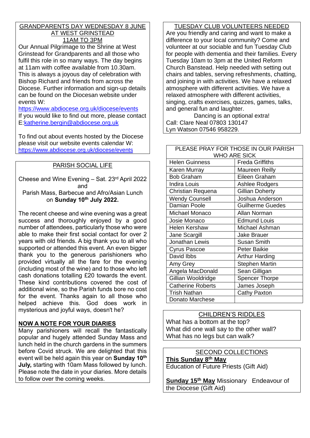#### GRANDPARENTS DAY WEDNESDAY 8 JUNE AT WEST GRINSTEAD 11AM TO 3PM

Our Annual Pilgrimage to the Shrine at West Grinstead for Grandparents and all those who fulfil this role in so many ways. The day begins at 11am with coffee available from 10.30am. This is always a joyous day of celebration with Bishop Richard and friends from across the Diocese. Further information and sign-up details can be found on the Diocesan website under events W:

<https://www.abdiocese.org.uk/diocese/events> If you would like to find out more, please contact E[:katherine.bergin@abdiocese.org.uk](mailto:katherine.bergin@abdiocese.org.uk)

To find out about events hosted by the Diocese please visit our website events calendar W: <https://www.abdiocese.org.uk/diocese/events>

## PARISH SOCIAL LIFE

Cheese and Wine Evening – Sat. 23rd April 2022 and Parish Mass, Barbecue and Afro/Asian Lunch on **Sunday 10th July 2022.**

The recent cheese and wine evening was a great success and thoroughly enjoyed by a good number of attendees, particularly those who were able to make their first social contact for over 2 years with old friends. A big thank you to all who supported or attended this event. An even bigger thank you to the generous parishioners who provided virtually all the fare for the evening (including most of the wine) and to those who left cash donations totalling £20 towards the event. These kind contributions covered the cost of additional wine, so the Parish funds bore no cost for the event. Thanks again to all those who helped achieve this. God does work in mysterious and joyful ways, doesn't he?

## **NOW A NOTE FOR YOUR DIARIES**

Many parishioners will recall the fantastically popular and hugely attended Sunday Mass and lunch held in the church gardens in the summers before Covid struck. We are delighted that this event will be held again this year on **Sunday 10th July,** starting with 10am Mass followed by lunch. Please note the date in your diaries. More details to follow over the coming weeks.

TUESDAY CLUB VOLUNTEERS NEEDED Are you friendly and caring and want to make a difference to your local community? Come and volunteer at our sociable and fun Tuesday Club for people with dementia and their families. Every Tuesday 10am to 3pm at the United Reform Church Banstead. Help needed with setting out chairs and tables, serving refreshments, chatting, and joining in with activities. We have a relaxed atmosphere with different activities. We have a relaxed atmosphere with different activities, singing, crafts exercises, quizzes, games, talks, and general fun and laughter.

Dancing is an optional extra! Call: Clare Neal 07803 130147 Lyn Watson 07546 958229.

#### PLEASE PRAY FOR THOSE IN OUR PARISH WHO ARE SICK Helen Guinness **Freda Griffiths** Karen Murray Maureen Reilly Bob Graham Eileen Graham Indira Louis **Ashlee Rodgers** Christian Requena Gillian Doherty Wendy Counsell **Joshua Anderson** Damian Poole Guilherme Guedes Michael Monaco | Allan Norman Josie Monaco **Edmund Louis** Helen Kershaw Michael Ashman Jane Scargill Jake Brauer Jonathan Lewis Susan Smith Cyrus Pascoe Peter Baikie David Ibbs **Arthur Harding** Amy Grey Stephen Martin Angela MacDonald Sean Gilligan Gillian Wooldridge | Spencer Thorpe Catherine Roberts | James Joseph Trish Nathan **Cathy Paxton** Donato Marchese

## CHILDREN'S RIDDLES

What has a bottom at the top? What did one wall say to the other wall? What has no legs but can walk?

## SECOND COLLECTIONS

**This Sunday 8th May**  Education of Future Priests (Gift Aid)

**Sunday 15th May** Missionary Endeavour of the Diocese (Gift Aid)